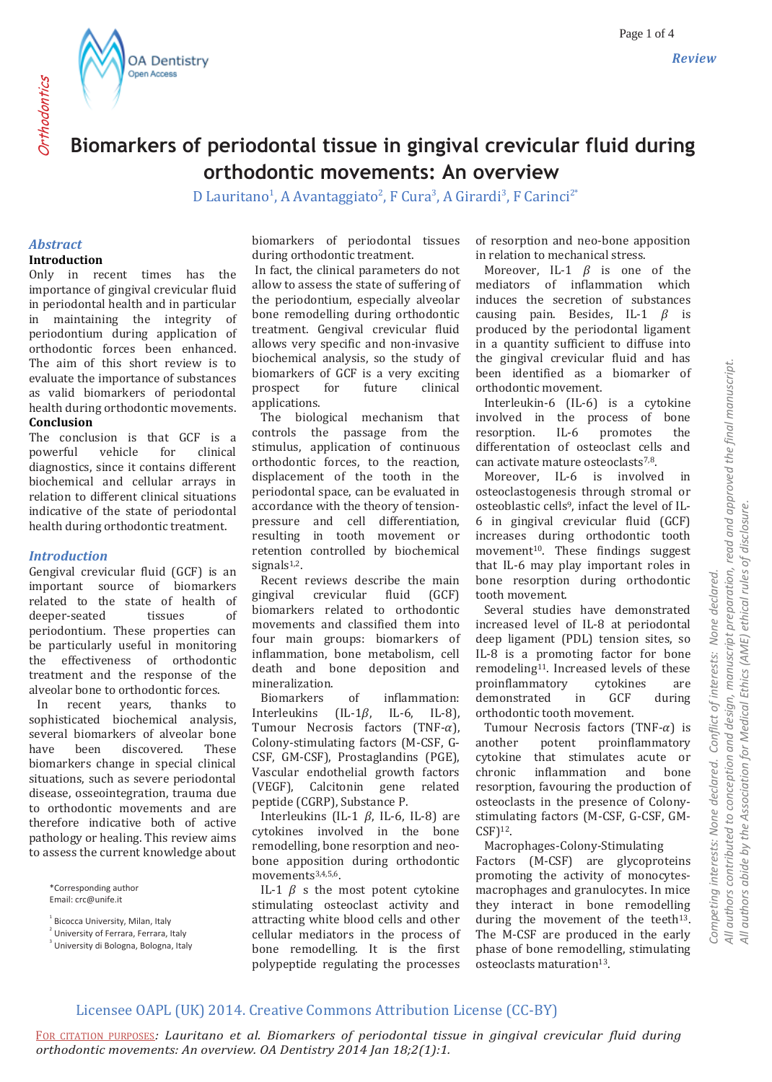**OA Dentistry** Open Access

# **Biomarkers of periodontal tissue in gingival crevicular fluid during orthodontic movements: An overview**

D Lauritano<sup>1</sup>, A Avantaggiato<sup>2</sup>, F Cura<sup>3</sup>, A Girardi<sup>3</sup>, F Carinci<sup>2</sup><sup>\*</sup>

#### *Abstract* **Introduction**

Only in recent times has the importance of gingival crevicular fluid in periodontal health and in particular in maintaining the integrity of periodontium during application of orthodontic forces been enhanced. The aim of this short review is to evaluate the importance of substances as valid biomarkers of periodontal health during orthodontic movements. **Conclusion**

The conclusion is that GCF is a<br>nowerful vehicle for clinical powerful diagnostics, since it contains different biochemical and cellular arrays in relation to different clinical situations indicative of the state of periodontal health during orthodontic treatment.

#### *Introduction*

Gengival crevicular fluid (GCF) is an important source of biomarkers related to the state of health of deeper-seated tissues of periodontium. These properties can be particularly useful in monitoring the effectiveness of orthodontic treatment and the response of the alveolar bone to orthodontic forces.

 In recent years, thanks to sophisticated biochemical analysis, several biomarkers of alveolar bone have been discovered. These biomarkers change in special clinical situations, such as severe periodontal disease, osseointegration, trauma due to orthodontic movements and are therefore indicative both of active pathology or healing. This review aims to assess the current knowledge about

\*Corresponding author Email: crc@unife.it

2 University of Ferrara, Ferrara, Italy

<sup>3</sup> University di Bologna, Bologna, Italy

biomarkers of periodontal tissues during orthodontic treatment.

In fact, the clinical parameters do not allow to assess the state of suffering of the periodontium, especially alveolar bone remodelling during orthodontic treatment. Gengival crevicular fluid allows very specific and non-invasive biochemical analysis, so the study of biomarkers of GCF is a very exciting prospect for future clinical applications.

 The biological mechanism that controls the passage from the stimulus, application of continuous orthodontic forces, to the reaction, displacement of the tooth in the periodontal space, can be evaluated in accordance with the theory of tensionpressure and cell differentiation, resulting in tooth movement or retention controlled by biochemical signals $1,2$ .

 Recent reviews describe the main gingival crevicular fluid (GCF) biomarkers related to orthodontic movements and classified them into four main groups: biomarkers of inflammation, bone metabolism, cell death and bone deposition and mineralization.

 Biomarkers of inflammation: Interleukins (IL- $1\beta$ , IL-6, IL-8), Tumour Necrosis factors (TNF- $\alpha$ ), Colony-stimulating factors (M-CSF, G-CSF, GM-CSF), Prostaglandins (PGE), Vascular endothelial growth factors (VEGF), Calcitonin gene related peptide (CGRP), Substance P.

Interleukins (IL-1  $\beta$ , IL-6, IL-8) are cytokines involved in the bone remodelling, bone resorption and neobone apposition during orthodontic movements<sup>3,4,5,6</sup>.

IL-1  $\beta$  s the most potent cytokine stimulating osteoclast activity and attracting white blood cells and other cellular mediators in the process of bone remodelling. It is the first polypeptide regulating the processes

of resorption and neo-bone apposition in relation to mechanical stress.

Moreover, IL-1  $\beta$  is one of the mediators of inflammation which induces the secretion of substances causing pain. Besides, IL-1  $\beta$  is produced by the periodontal ligament in a quantity sufficient to diffuse into the gingival crevicular fluid and has been identified as a biomarker of orthodontic movement.

 Interleukin-6 (IL-6) is a cytokine involved in the process of bone resorption. IL-6 promotes the differentation of osteoclast cells and can activate mature osteoclasts7,8.

 Moreover, IL-6 is involved in osteoclastogenesis through stromal or osteoblastic cells<sup>9</sup>, infact the level of IL-6 in gingival crevicular fluid (GCF) increases during orthodontic tooth movement<sup>10</sup>. These findings suggest that IL-6 may play important roles in bone resorption during orthodontic tooth movement.

 Several studies have demonstrated increased level of IL-8 at periodontal deep ligament (PDL) tension sites, so IL-8 is a promoting factor for bone remodeling<sup>11</sup>. Increased levels of these proinflammatory cytokines are demonstrated in GCF during orthodontic tooth movement.

Tumour Necrosis factors (TNF- $\alpha$ ) is another potent proinflammatory cytokine that stimulates acute or chronic inflammation and bone resorption, favouring the production of osteoclasts in the presence of Colonystimulating factors (M-CSF, G-CSF, GM- $CSF$ <sup>12</sup>.

 Macrophages-Colony-Stimulating Factors (M-CSF) are glycoproteins promoting the activity of monocytesmacrophages and granulocytes. In mice they interact in bone remodelling during the movement of the teeth<sup>13</sup>. The M-CSF are produced in the early phase of bone remodelling, stimulating osteoclasts maturation<sup>13</sup>.

*Competing interests: None declared. Conflict of interests: None declared.* 

Competing interests: None declared.

Conflict of interests: None declared.

# Licensee OAPL (UK) 2014. Creative Commons Attribution License (CC-BY)

<sup>1</sup> Bicocca University, Milan, Italy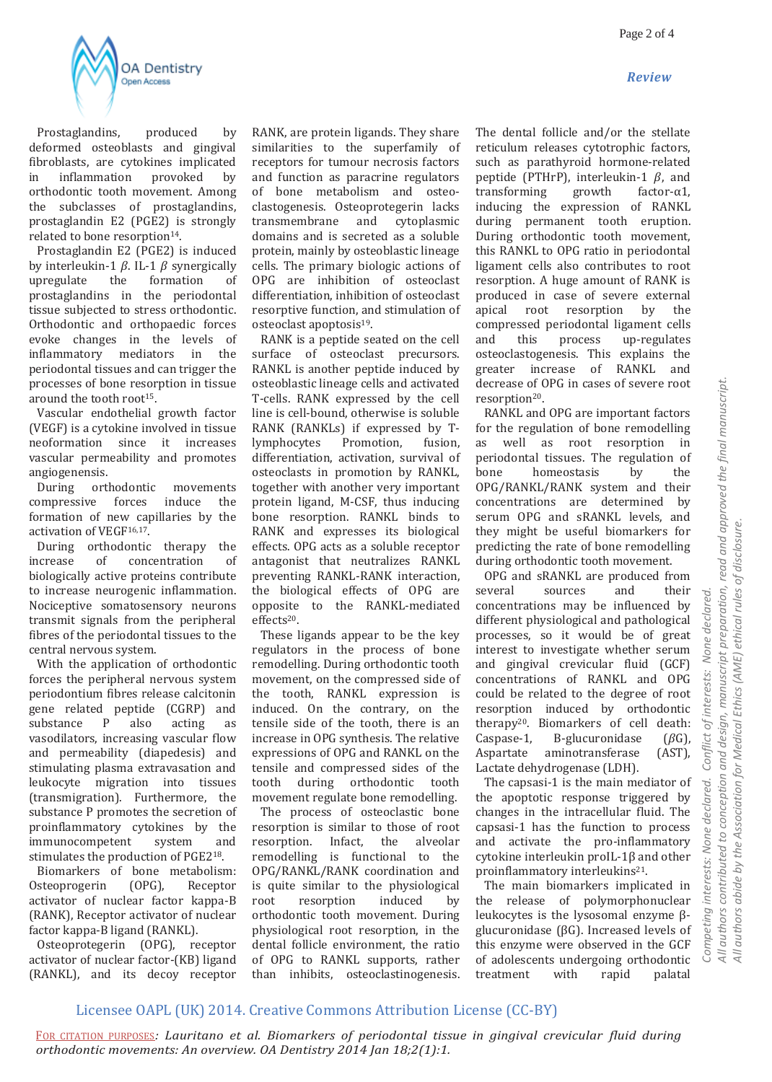



 Prostaglandins, produced by deformed osteoblasts and gingival fibroblasts, are cytokines implicated in inflammation provoked by orthodontic tooth movement. Among the subclasses of prostaglandins, prostaglandin E2 (PGE2) is strongly related to bone resorption<sup>14</sup>.

 Prostaglandin E2 (PGE2) is induced by interleukin-1  $\beta$ . IL-1  $\beta$  synergically upregulate the formation of prostaglandins in the periodontal tissue subjected to stress orthodontic. Orthodontic and orthopaedic forces evoke changes in the levels of inflammatory mediators in the periodontal tissues and can trigger the processes of bone resorption in tissue around the tooth root<sup>15</sup>.

 Vascular endothelial growth factor (VEGF) is a cytokine involved in tissue neoformation since it increases vascular permeability and promotes angiogenensis.

 During orthodontic movements compressive forces induce the formation of new capillaries by the activation of VEGF16,17.

 During orthodontic therapy the increase of concentration of biologically active proteins contribute to increase neurogenic inflammation. Nociceptive somatosensory neurons transmit signals from the peripheral fibres of the periodontal tissues to the central nervous system.

 With the application of orthodontic forces the peripheral nervous system periodontium fibres release calcitonin gene related peptide (CGRP) and substance P also acting as vasodilators, increasing vascular flow and permeability (diapedesis) and stimulating plasma extravasation and leukocyte migration into tissues (transmigration). Furthermore, the substance P promotes the secretion of proinflammatory cytokines by the immunocompetent system and stimulates the production of PGE218.

 Biomarkers of bone metabolism: Osteoprogerin (OPG), Receptor activator of nuclear factor kappa-B (RANK), Receptor activator of nuclear factor kappa-B ligand (RANKL).

 Osteoprotegerin (OPG), receptor activator of nuclear factor-(KB) ligand (RANKL), and its decoy receptor

RANK, are protein ligands. They share similarities to the superfamily of receptors for tumour necrosis factors and function as paracrine regulators of bone metabolism and osteoclastogenesis. Osteoprotegerin lacks transmembrane and cytoplasmic domains and is secreted as a soluble protein, mainly by osteoblastic lineage cells. The primary biologic actions of OPG are inhibition of osteoclast differentiation, inhibition of osteoclast resorptive function, and stimulation of osteoclast apoptosis19.

 RANK is a peptide seated on the cell surface of osteoclast precursors. RANKL is another peptide induced by osteoblastic lineage cells and activated T-cells. RANK expressed by the cell line is cell-bound, otherwise is soluble RANK (RANKLs) if expressed by Tlymphocytes Promotion, fusion, differentiation, activation, survival of osteoclasts in promotion by RANKL, together with another very important protein ligand, M-CSF, thus inducing bone resorption. RANKL binds to RANK and expresses its biological effects. OPG acts as a soluble receptor antagonist that neutralizes RANKL preventing RANKL-RANK interaction, the biological effects of OPG are opposite to the RANKL-mediated effects20.

 These ligands appear to be the key regulators in the process of bone remodelling. During orthodontic tooth movement, on the compressed side of the tooth, RANKL expression is induced. On the contrary, on the tensile side of the tooth, there is an increase in OPG synthesis. The relative expressions of OPG and RANKL on the tensile and compressed sides of the tooth during orthodontic tooth movement regulate bone remodelling. The process of osteoclastic bone resorption is similar to those of root resorption. Infact, the alveolar remodelling is functional to the OPG/RANKL/RANK coordination and is quite similar to the physiological root resorption induced by orthodontic tooth movement. During physiological root resorption, in the dental follicle environment, the ratio of OPG to RANKL supports, rather than inhibits, osteoclastinogenesis.

The dental follicle and/or the stellate reticulum releases cytotrophic factors, such as parathyroid hormone-related peptide (PTHrP), interleukin-1  $\beta$ , and transforming growth factor-α1, inducing the expression of RANKL during permanent tooth eruption. During orthodontic tooth movement, this RANKL to OPG ratio in periodontal ligament cells also contributes to root resorption. A huge amount of RANK is produced in case of severe external apical root resorption by the compressed periodontal ligament cells and this process up-regulates osteoclastogenesis. This explains the greater increase of RANKL and decrease of OPG in cases of severe root resorption20.

 RANKL and OPG are important factors for the regulation of bone remodelling as well as root resorption in periodontal tissues. The regulation of bone homeostasis by the OPG/RANKL/RANK system and their concentrations are determined by serum OPG and sRANKL levels, and they might be useful biomarkers for predicting the rate of bone remodelling during orthodontic tooth movement.

 OPG and sRANKL are produced from several sources and their concentrations may be influenced by different physiological and pathological processes, so it would be of great interest to investigate whether serum and gingival crevicular fluid (GCF) concentrations of RANKL and OPG could be related to the degree of root resorption induced by orthodontic therapy20. Biomarkers of cell death: Caspase-1, B-glucuronidase  $(\beta G)$ , Aspartate aminotransferase (AST), Lactate dehydrogenase (LDH).

 The capsasi-1 is the main mediator of the apoptotic response triggered by changes in the intracellular fluid. The capsasi-1 has the function to process and activate the pro-inflammatory cytokine interleukin proIL-1β and other proinflammatory interleukins<sup>21</sup>.

 The main biomarkers implicated in the release of polymorphonuclear leukocytes is the lysosomal enzyme βglucuronidase (βG). Increased levels of this enzyme were observed in the GCF of adolescents undergoing orthodontic treatment with rapid palatal

### Licensee OAPL (UK) 2014. Creative Commons Attribution License (CC-BY)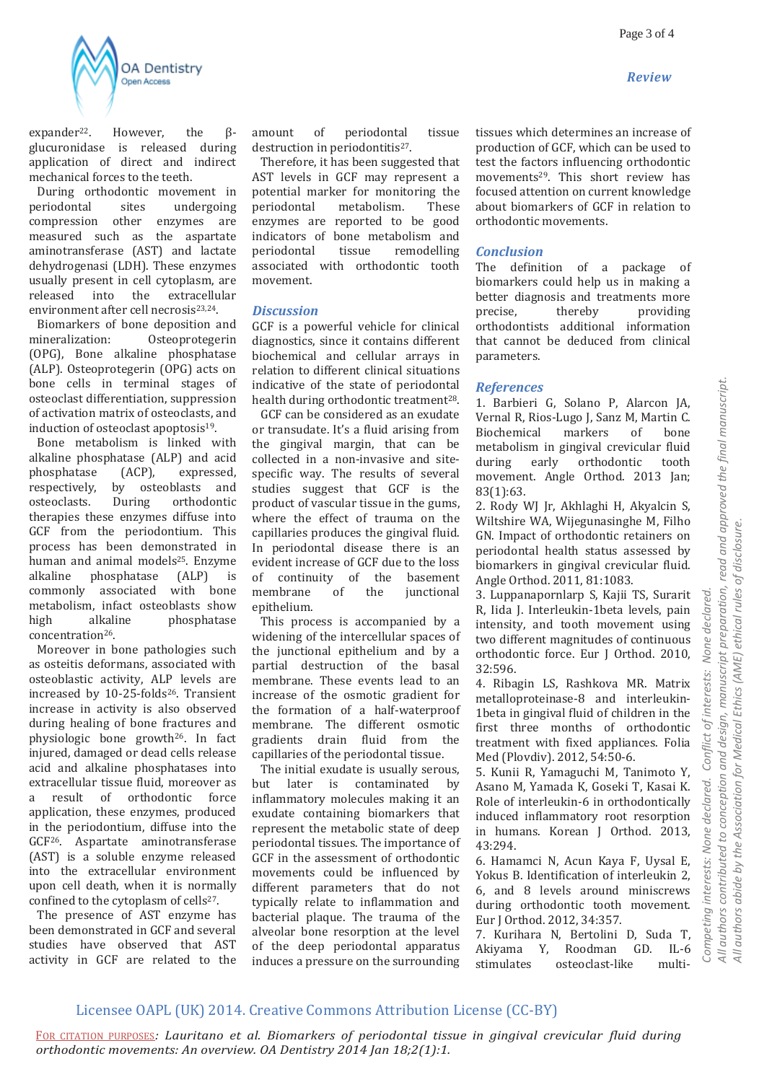*Review*



expander<sup>22</sup>. However, the  $\beta$ glucuronidase is released during application of direct and indirect mechanical forces to the teeth.

 During orthodontic movement in periodontal sites undergoing compression other enzymes are measured such as the aspartate aminotransferase (AST) and lactate dehydrogenasi (LDH). These enzymes usually present in cell cytoplasm, are released into the extracellular environment after cell necrosis<sup>23,24</sup>.

 Biomarkers of bone deposition and mineralization: Osteoprotegerin (OPG), Bone alkaline phosphatase (ALP). Osteoprotegerin (OPG) acts on bone cells in terminal stages of osteoclast differentiation, suppression of activation matrix of osteoclasts, and induction of osteoclast apoptosis<sup>19</sup>.

 Bone metabolism is linked with alkaline phosphatase (ALP) and acid phosphatase (ACP), expressed, respectively, by osteoblasts and osteoclasts. During orthodontic therapies these enzymes diffuse into GCF from the periodontium. This process has been demonstrated in human and animal models<sup>25</sup>. Enzyme alkaline phosphatase (ALP) is commonly associated with bone metabolism, infact osteoblasts show high alkaline phosphatase concentration26.

 Moreover in bone pathologies such as osteitis deformans, associated with osteoblastic activity, ALP levels are increased by 10-25-folds<sup>26</sup>. Transient increase in activity is also observed during healing of bone fractures and physiologic bone growth26. In fact injured, damaged or dead cells release acid and alkaline phosphatases into extracellular tissue fluid, moreover as a result of orthodontic force application, these enzymes, produced in the periodontium, diffuse into the GCF26. Aspartate aminotransferase (AST) is a soluble enzyme released into the extracellular environment upon cell death, when it is normally confined to the cytoplasm of cells<sup>27</sup>.

 The presence of AST enzyme has been demonstrated in GCF and several studies have observed that AST activity in GCF are related to the amount of periodontal tissue destruction in periodontitis<sup>27</sup>.

 Therefore, it has been suggested that AST levels in GCF may represent a potential marker for monitoring the<br>
neriodontal metabolism. These periodontal enzymes are reported to be good indicators of bone metabolism and periodontal tissue remodelling associated with orthodontic tooth movement.

#### *Discussion*

GCF is a powerful vehicle for clinical diagnostics, since it contains different biochemical and cellular arrays in relation to different clinical situations indicative of the state of periodontal health during orthodontic treatment<sup>28</sup>.

 GCF can be considered as an exudate or transudate. It's a fluid arising from the gingival margin, that can be collected in a non-invasive and sitespecific way. The results of several studies suggest that GCF is the product of vascular tissue in the gums, where the effect of trauma on the capillaries produces the gingival fluid. In periodontal disease there is an evident increase of GCF due to the loss of continuity of the basement membrane of the junctional epithelium.

 This process is accompanied by a widening of the intercellular spaces of the junctional epithelium and by a partial destruction of the basal membrane. These events lead to an increase of the osmotic gradient for the formation of a half-waterproof membrane. The different osmotic gradients drain fluid from the capillaries of the periodontal tissue.

 The initial exudate is usually serous, but later is contaminated by inflammatory molecules making it an exudate containing biomarkers that represent the metabolic state of deep periodontal tissues. The importance of GCF in the assessment of orthodontic movements could be influenced by different parameters that do not typically relate to inflammation and bacterial plaque. The trauma of the alveolar bone resorption at the level of the deep periodontal apparatus induces a pressure on the surrounding

tissues which determines an increase of production of GCF, which can be used to test the factors influencing orthodontic movements29. This short review has focused attention on current knowledge about biomarkers of GCF in relation to orthodontic movements.

#### *Conclusion*

The definition of a package of biomarkers could help us in making a better diagnosis and treatments more<br>precise, thereby providing precise, thereby providing orthodontists additional information that cannot be deduced from clinical parameters.

#### *References*

1. Barbieri G, Solano P, Alarcon JA, Vernal R, Rios-Lugo J, Sanz M, Martin C. Biochemical markers of bone metabolism in gingival crevicular fluid during early orthodontic tooth movement. Angle Orthod. 2013 Jan; 83(1):63.

2. Rody WJ Jr, Akhlaghi H, Akyalcin S, Wiltshire WA, Wijegunasinghe M, Filho GN. Impact of orthodontic retainers on periodontal health status assessed by biomarkers in gingival crevicular fluid. Angle Orthod. 2011, 81:1083.

3. Luppanapornlarp S, Kajii TS, Surarit R, Iida J. Interleukin-1beta levels, pain intensity, and tooth movement using two different magnitudes of continuous orthodontic force. Eur J Orthod. 2010, 32:596.

4. Ribagin LS, Rashkova MR. Matrix metalloproteinase-8 and interleukin-1beta in gingival fluid of children in the first three months of orthodontic treatment with fixed appliances. Folia Med (Plovdiv). 2012, 54:50-6.

5. Kunii R, Yamaguchi M, Tanimoto Y, Asano M, Yamada K, Goseki T, Kasai K. Role of interleukin-6 in orthodontically induced inflammatory root resorption in humans. Korean J Orthod. 2013, 43:294.

6. Hamamci N, Acun Kaya F, Uysal E, Yokus B. Identification of interleukin 2, 6, and 8 levels around miniscrews during orthodontic tooth movement. Eur J Orthod. 2012, 34:357.

7. Kurihara N, Bertolini D, Suda T, Akiyama Y, Roodman GD. IL-6 stimulates osteoclast-like multi*All authors contributed to conception and design, manuscript preparation, read and approved the final manuscript.* 

All authors contributed to conception and design, manuscript preparation, read and approved the final manuscript.

None declared.

interests:

of

*Competing interests: None declared. Conflict of interests: None declared.* 

Competing interests: None declared.

Conflict

# Licensee OAPL (UK) 2014. Creative Commons Attribution License (CC-BY)